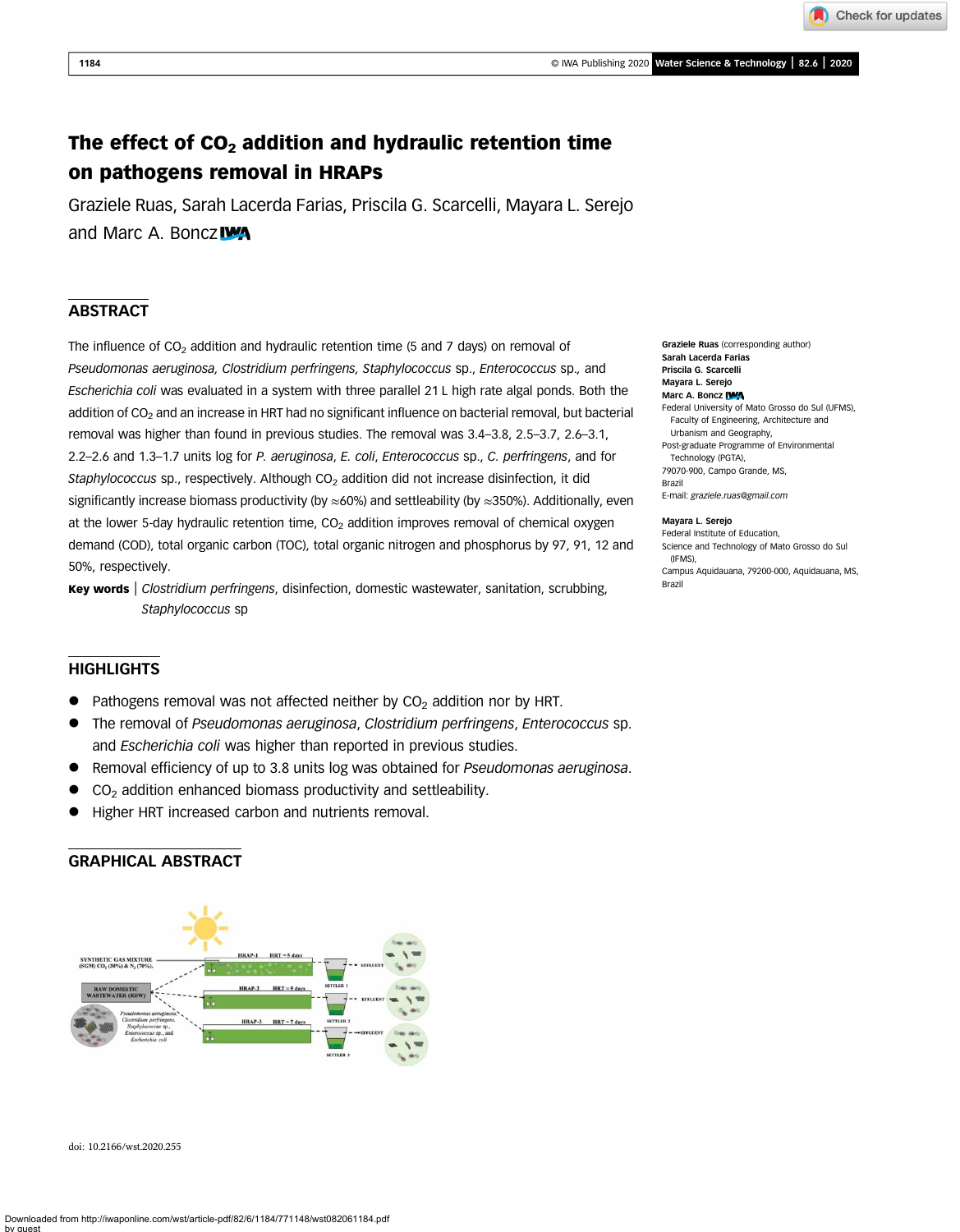Check for updates

# The effect of  $CO<sub>2</sub>$  addition and hydraulic retention time on pathogens removal in HRAPs

Graziele Ruas, Sarah Lacerda Farias, Priscila G. Scarcelli, Mayara L. Serejo and Marc A. Boncz

# ABSTRACT

The influence of  $CO<sub>2</sub>$  addition and hydraulic retention time (5 and 7 days) on removal of Pseudomonas aeruginosa, Clostridium perfringens, Staphylococcus sp., Enterococcus sp., and Escherichia coli was evaluated in a system with three parallel 21 L high rate algal ponds. Both the addition of CO<sub>2</sub> and an increase in HRT had no significant influence on bacterial removal, but bacterial removal was higher than found in previous studies. The removal was 3.4–3.8, 2.5–3.7, 2.6–3.1, 2.2–2.6 and 1.3–1.7 units log for P. aeruginosa, E. coli, Enterococcus sp., C. perfringens, and for Staphylococcus sp., respectively. Although  $CO<sub>2</sub>$  addition did not increase disinfection, it did significantly increase biomass productivity (by  $\approx$ 60%) and settleability (by  $\approx$ 350%). Additionally, even at the lower 5-day hydraulic retention time,  $CO<sub>2</sub>$  addition improves removal of chemical oxygen demand (COD), total organic carbon (TOC), total organic nitrogen and phosphorus by 97, 91, 12 and 50%, respectively.

Key words | Clostridium perfringens, disinfection, domestic wastewater, sanitation, scrubbing, Staphylococcus sp

# **HIGHLIGHTS**

- Pathogens removal was not affected neither by  $CO<sub>2</sub>$  addition nor by HRT.
- The removal of Pseudomonas aeruginosa, Clostridium perfringens, Enterococcus sp. and Escherichia coli was higher than reported in previous studies.
- Removal efficiency of up to 3.8 units log was obtained for Pseudomonas aeruginosa.
- $CO<sub>2</sub>$  addition enhanced biomass productivity and settleability.
- Higher HRT increased carbon and nutrients removal.

# GRAPHICAL ABSTRACT



doi: 10.2166/wst.2020.255

Graziele Ruas (corresponding author) Sarah Lacerda Farias Priscila G. Scarcelli Mayara L. Serejo Marc A. Boncz IWA Federal University of Mato Grosso do Sul (UFMS), Faculty of Engineering, Architecture and Urbanism and Geography, Post-graduate Programme of Environmental Technology (PGTA), 79070-900, Campo Grande, MS, Brazil E-mail: [graziele.ruas@gmail.com](mailto:graziele.ruas@gmail.com)

#### Mayara L. Serejo

Federal Institute of Education, Science and Technology of Mato Grosso do Sul (IFMS), Campus Aquidauana, 79200-000, Aquidauana, MS, Brazil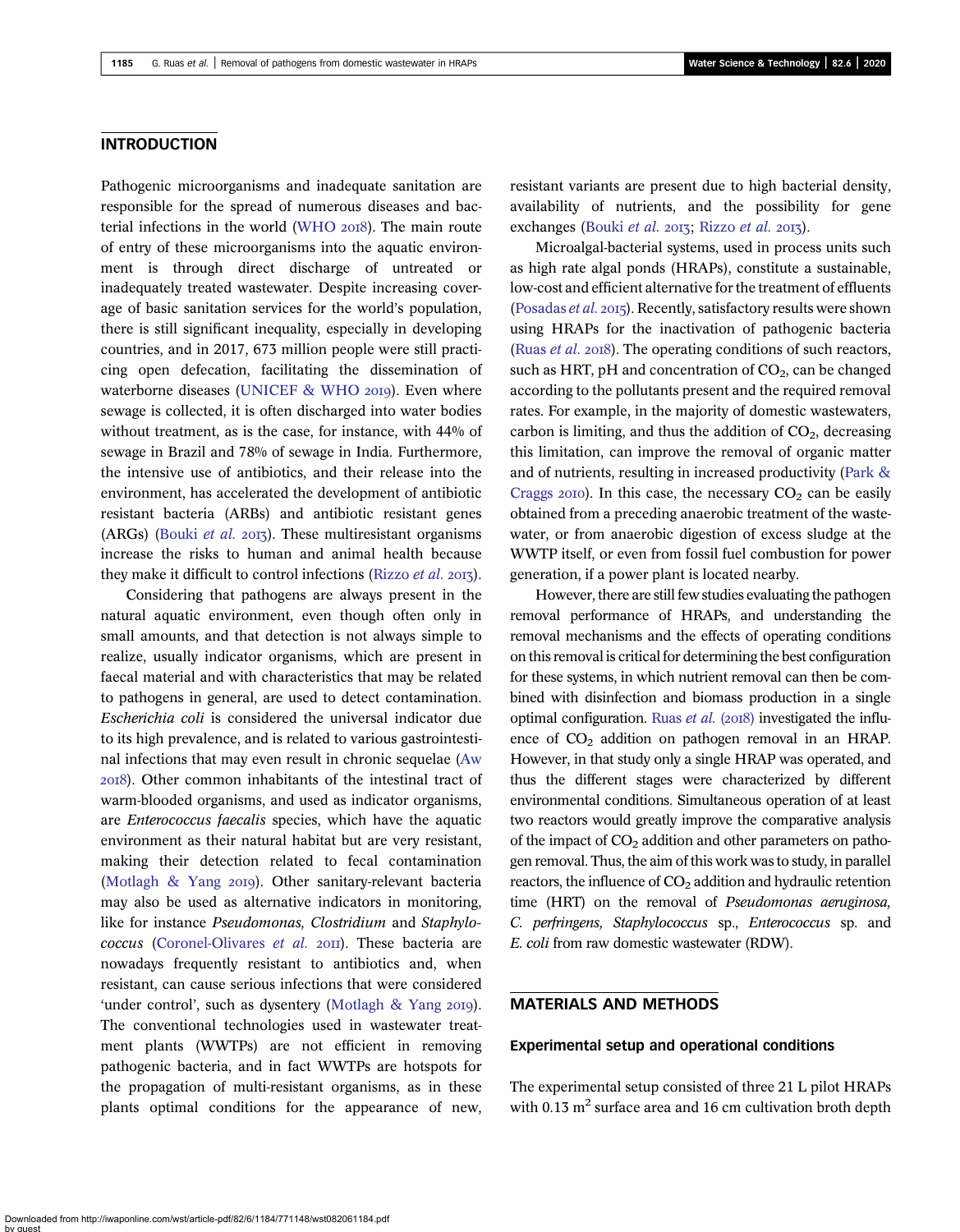# **INTRODUCTION**

Pathogenic microorganisms and inadequate sanitation are responsible for the spread of numerous diseases and bac-terial infections in the world ([WHO](#page-8-0) 2018). The main route of entry of these microorganisms into the aquatic environment is through direct discharge of untreated or inadequately treated wastewater. Despite increasing coverage of basic sanitation services for the world's population, there is still significant inequality, especially in developing countries, and in 2017, 673 million people were still practicing open defecation, facilitating the dissemination of waterborne diseases ([UNICEF & WHO](#page-8-0) 2019). Even where sewage is collected, it is often discharged into water bodies without treatment, as is the case, for instance, with 44% of sewage in Brazil and 78% of sewage in India. Furthermore, the intensive use of antibiotics, and their release into the environment, has accelerated the development of antibiotic resistant bacteria (ARBs) and antibiotic resistant genes (ARGs) [\(Bouki](#page-7-0) et al. 2013). These multiresistant organisms increase the risks to human and animal health because they make it difficult to control infections ([Rizzo](#page-8-0) et al. 2013).

Considering that pathogens are always present in the natural aquatic environment, even though often only in small amounts, and that detection is not always simple to realize, usually indicator organisms, which are present in faecal material and with characteristics that may be related to pathogens in general, are used to detect contamination. Escherichia coli is considered the universal indicator due to its high prevalence, and is related to various gastrointestinal infections that may even result in chronic sequelae [\(Aw](#page-7-0) ). Other common inhabitants of the intestinal tract of warm-blooded organisms, and used as indicator organisms, are Enterococcus faecalis species, which have the aquatic environment as their natural habitat but are very resistant, making their detection related to fecal contamination (Motlagh  $& Yang 2019$ ). Other sanitary-relevant bacteria may also be used as alternative indicators in monitoring, like for instance Pseudomonas, Clostridium and Staphylo-coccus [\(Coronel-Olivares](#page-7-0) et al. 2011). These bacteria are nowadays frequently resistant to antibiotics and, when resistant, can cause serious infections that were considered 'under control', such as dysentery [\(Motlagh & Yang](#page-7-0) 2019). The conventional technologies used in wastewater treatment plants (WWTPs) are not efficient in removing pathogenic bacteria, and in fact WWTPs are hotspots for the propagation of multi-resistant organisms, as in these plants optimal conditions for the appearance of new,

resistant variants are present due to high bacterial density, availability of nutrients, and the possibility for gene exchanges ([Bouki](#page-7-0) et al. 2013; [Rizzo](#page-8-0) et al. 2013).

Microalgal-bacterial systems, used in process units such as high rate algal ponds (HRAPs), constitute a sustainable, low-cost and efficient alternative for the treatment of effluents [\(Posadas](#page-8-0)  $et$   $al.$  2015). Recently, satisfactory results were shown using HRAPs for the inactivation of pathogenic bacteria [\(Ruas](#page-8-0) *et al.* 2018). The operating conditions of such reactors, such as HRT, pH and concentration of  $CO<sub>2</sub>$ , can be changed according to the pollutants present and the required removal rates. For example, in the majority of domestic wastewaters, carbon is limiting, and thus the addition of  $CO<sub>2</sub>$ , decreasing this limitation, can improve the removal of organic matter and of nutrients, resulting in increased productivity [\(Park &](#page-8-0) [Craggs](#page-8-0) 2010). In this case, the necessary  $CO<sub>2</sub>$  can be easily obtained from a preceding anaerobic treatment of the wastewater, or from anaerobic digestion of excess sludge at the WWTP itself, or even from fossil fuel combustion for power generation, if a power plant is located nearby.

However, there are still few studies evaluating the pathogen removal performance of HRAPs, and understanding the removal mechanisms and the effects of operating conditions on this removal is critical for determining the best configuration for these systems, in which nutrient removal can then be combined with disinfection and biomass production in a single optimal configuration. [Ruas](#page-8-0) et al.  $(2018)$  investigated the influence of  $CO<sub>2</sub>$  addition on pathogen removal in an HRAP. However, in that study only a single HRAP was operated, and thus the different stages were characterized by different environmental conditions. Simultaneous operation of at least two reactors would greatly improve the comparative analysis of the impact of  $CO<sub>2</sub>$  addition and other parameters on pathogen removal. Thus, the aim of this work was to study, in parallel reactors, the influence of  $CO<sub>2</sub>$  addition and hydraulic retention time (HRT) on the removal of Pseudomonas aeruginosa, C. perfringens, Staphylococcus sp., Enterococcus sp. and E. coli from raw domestic wastewater (RDW).

# MATERIALS AND METHODS

#### Experimental setup and operational conditions

The experimental setup consisted of three 21 L pilot HRAPs with 0.13  $m^2$  surface area and 16 cm cultivation broth depth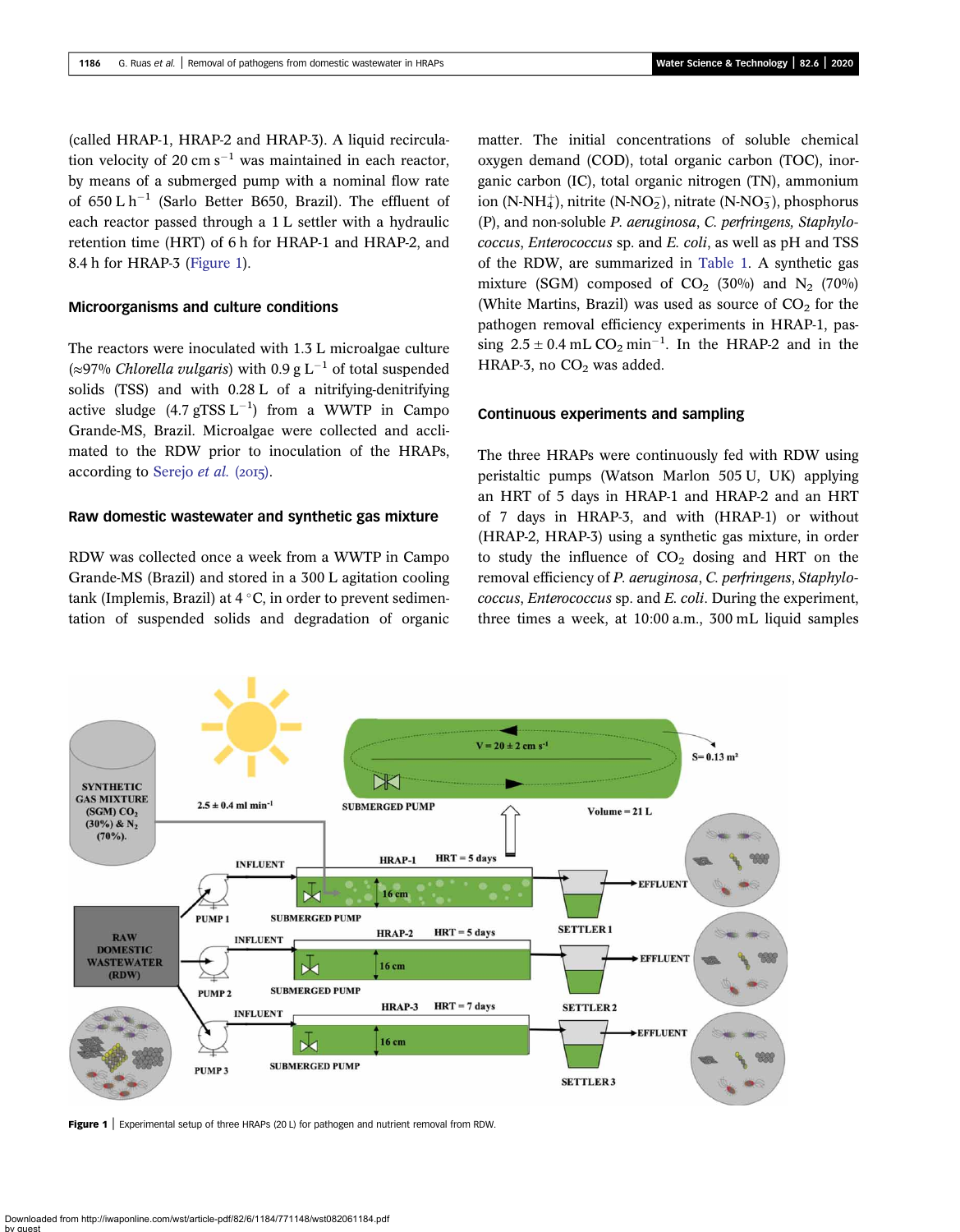<span id="page-2-0"></span>(called HRAP-1, HRAP-2 and HRAP-3). A liquid recirculation velocity of 20 cm  $s^{-1}$  was maintained in each reactor. by means of a submerged pump with a nominal flow rate of 650 L  $h^{-1}$  (Sarlo Better B650, Brazil). The effluent of each reactor passed through a 1 L settler with a hydraulic retention time (HRT) of 6 h for HRAP-1 and HRAP-2, and 8.4 h for HRAP-3 (Figure 1).

### Microorganisms and culture conditions

The reactors were inoculated with 1.3 L microalgae culture (≈97% Chlorella vulgaris) with 0.9 g L<sup>-1</sup> of total suspended solids (TSS) and with 0.28 L of a nitrifying-denitrifying active sludge  $(4.7 \text{ gTSS L}^{-1})$  from a WWTP in Campo Grande-MS, Brazil. Microalgae were collected and acclimated to the RDW prior to inoculation of the HRAPs, according to [Serejo](#page-8-0) et al.  $(2015)$ .

### Raw domestic wastewater and synthetic gas mixture

RDW was collected once a week from a WWTP in Campo Grande-MS (Brazil) and stored in a 300 L agitation cooling tank (Implemis, Brazil) at  $4^{\circ}$ C, in order to prevent sedimentation of suspended solids and degradation of organic matter. The initial concentrations of soluble chemical oxygen demand (COD), total organic carbon (TOC), inorganic carbon (IC), total organic nitrogen (TN), ammonium ion (N-NH $_4^+$ ), nitrite (N-NO<sub>2</sub>), nitrate (N-NO<sub>3</sub>), phosphorus (P), and non-soluble P. aeruginosa, C. perfringens, Staphylococcus, Enterococcus sp. and E. coli, as well as pH and TSS of the RDW, are summarized in [Table 1](#page-3-0). A synthetic gas mixture (SGM) composed of  $CO<sub>2</sub>$  (30%) and N<sub>2</sub> (70%) (White Martins, Brazil) was used as source of  $CO<sub>2</sub>$  for the pathogen removal efficiency experiments in HRAP-1, passing  $2.5 \pm 0.4$  mL CO<sub>2</sub> min<sup>-1</sup>. In the HRAP-2 and in the HRAP-3, no  $CO<sub>2</sub>$  was added.

### Continuous experiments and sampling

The three HRAPs were continuously fed with RDW using peristaltic pumps (Watson Marlon 505 U, UK) applying an HRT of 5 days in HRAP-1 and HRAP-2 and an HRT of 7 days in HRAP-3, and with (HRAP-1) or without (HRAP-2, HRAP-3) using a synthetic gas mixture, in order to study the influence of  $CO<sub>2</sub>$  dosing and HRT on the removal efficiency of P. aeruginosa, C. perfringens, Staphylococcus, Enterococcus sp. and E. coli. During the experiment, three times a week, at 10:00 a.m., 300 mL liquid samples



Figure 1 | Experimental setup of three HRAPs (20 L) for pathogen and nutrient removal from RDW.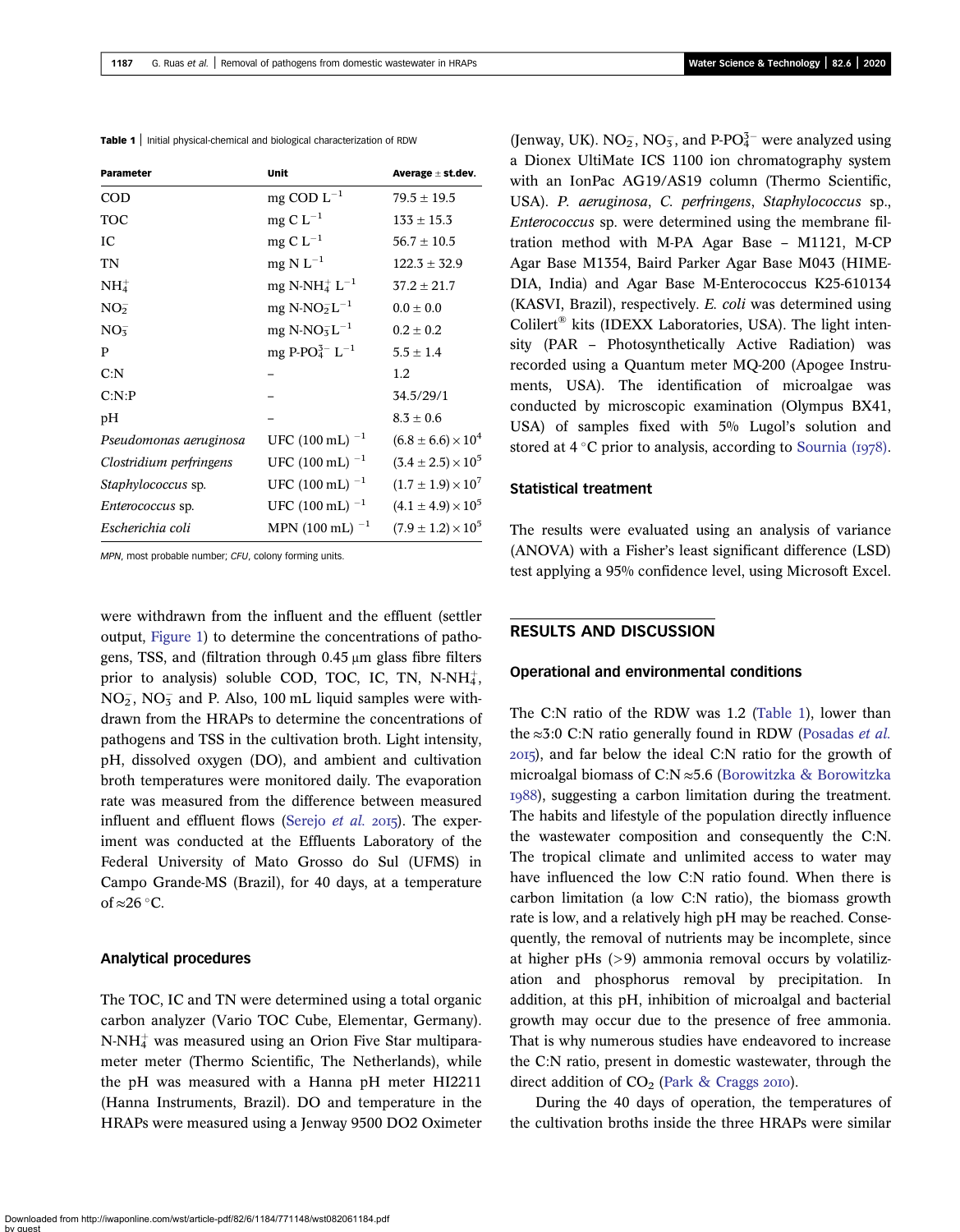<span id="page-3-0"></span>Table 1 | Initial physical-chemical and biological characterization of RDW

| <b>Parameter</b>          | Unit                                   | Average $\pm$ st.dev.         |
|---------------------------|----------------------------------------|-------------------------------|
| <b>COD</b>                | mg COD $L^{-1}$                        | $79.5 \pm 19.5$               |
| <b>TOC</b>                | mg C $L^{-1}$                          | $133 \pm 15.3$                |
| IС                        | mg C $L^{-1}$                          | $56.7 \pm 10.5$               |
| <b>TN</b>                 | mg N $L^{-1}$                          | $122.3 \pm 32.9$              |
| NH <sub>4</sub>           | mg N-NH <sup>+</sup> L <sup>-1</sup>   | $37.2 \pm 21.7$               |
| NO <sub>2</sub>           | $mg$ N-NO <sub>2</sub> L <sup>-1</sup> | $0.0 \pm 0.0$                 |
| NO <sub>3</sub>           | mg N-NO $5^{\circ}$ L <sup>-1</sup>    | $0.2 \pm 0.2$                 |
| P                         | mg P-PO $^{3-}_{4}$ L <sup>-1</sup>    | $5.5 \pm 1.4$                 |
| C: N                      |                                        | 1.2                           |
| C: N:P                    |                                        | 34.5/29/1                     |
| pH                        |                                        | $8.3 \pm 0.6$                 |
| Pseudomonas aeruginosa    | UFC (100 mL) $^{-1}$                   | $(6.8 \pm 6.6) \times 10^4$   |
| Clostridium perfringens   | UFC (100 mL) $^{-1}$                   | $(3.4 \pm 2.5) \times 10^5$   |
| <i>Staphylococcus sp.</i> | UFC (100 mL) $^{-1}$                   | $(1.7 \pm 1.9) \times 10^{7}$ |
| <i>Enterococcus</i> sp.   | UFC (100 mL) $^{-1}$                   | $(4.1 \pm 4.9) \times 10^5$   |
| Escherichia coli          | MPN (100 mL) $^{-1}$                   | $(7.9 \pm 1.2) \times 10^5$   |

MPN, most probable number; CFU, colony forming units.

were withdrawn from the influent and the effluent (settler output, [Figure 1](#page-2-0)) to determine the concentrations of pathogens, TSS, and (filtration through 0.45 μm glass fibre filters prior to analysis) soluble COD, TOC, IC, TN, N-NH $_4^+$ ,  $NO<sub>2</sub>$ ,  $NO<sub>3</sub>$  and P. Also, 100 mL liquid samples were withdrawn from the HRAPs to determine the concentrations of pathogens and TSS in the cultivation broth. Light intensity, pH, dissolved oxygen (DO), and ambient and cultivation broth temperatures were monitored daily. The evaporation rate was measured from the difference between measured influent and effluent flows ([Serejo](#page-8-0) et al.  $2015$ ). The experiment was conducted at the Effluents Laboratory of the Federal University of Mato Grosso do Sul (UFMS) in Campo Grande-MS (Brazil), for 40 days, at a temperature of  $\approx$  26 °C.

#### Analytical procedures

The TOC, IC and TN were determined using a total organic carbon analyzer (Vario TOC Cube, Elementar, Germany). N-NH4 þ was measured using an Orion Five Star multiparameter meter (Thermo Scientific, The Netherlands), while the pH was measured with a Hanna pH meter HI2211 (Hanna Instruments, Brazil). DO and temperature in the HRAPs were measured using a Jenway 9500 DO2 Oximeter

(Jenway, UK).  $NO_2^-$ ,  $NO_3^-$ , and P-P $O_4^{3-}$  were analyzed using a Dionex UltiMate ICS 1100 ion chromatography system with an IonPac AG19/AS19 column (Thermo Scientific, USA). P. aeruginosa, C. perfringens, Staphylococcus sp., Enterococcus sp. were determined using the membrane filtration method with M-PA Agar Base – M1121, M-CP Agar Base M1354, Baird Parker Agar Base M043 (HIME-DIA, India) and Agar Base M-Enterococcus K25-610134 (KASVI, Brazil), respectively. E. coli was determined using Colilert® kits (IDEXX Laboratories, USA). The light intensity (PAR – Photosynthetically Active Radiation) was recorded using a Quantum meter MQ-200 (Apogee Instruments, USA). The identification of microalgae was conducted by microscopic examination (Olympus BX41, USA) of samples fixed with 5% Lugol's solution and stored at  $4^{\circ}$ C prior to analysis, according to [Sournia \(](#page-8-0)1978).

### Statistical treatment

The results were evaluated using an analysis of variance (ANOVA) with a Fisher's least significant difference (LSD) test applying a 95% confidence level, using Microsoft Excel.

# RESULTS AND DISCUSSION

#### Operational and environmental conditions

The C:N ratio of the RDW was 1.2 (Table 1), lower than the  $\approx$ 3:0 C:N ratio generally found in RDW ([Posadas](#page-8-0) *et al.*) ), and far below the ideal C:N ratio for the growth of microalgal biomass of C:N ≈5.6 [\(Borowitzka & Borowitzka](#page-7-0) ), suggesting a carbon limitation during the treatment. The habits and lifestyle of the population directly influence the wastewater composition and consequently the C:N. The tropical climate and unlimited access to water may have influenced the low C:N ratio found. When there is carbon limitation (a low C:N ratio), the biomass growth rate is low, and a relatively high pH may be reached. Consequently, the removal of nutrients may be incomplete, since at higher pHs (>9) ammonia removal occurs by volatilization and phosphorus removal by precipitation. In addition, at this pH, inhibition of microalgal and bacterial growth may occur due to the presence of free ammonia. That is why numerous studies have endeavored to increase the C:N ratio, present in domestic wastewater, through the direct addition of  $CO<sub>2</sub>$  ([Park & Craggs](#page-8-0) 2010).

During the 40 days of operation, the temperatures of the cultivation broths inside the three HRAPs were similar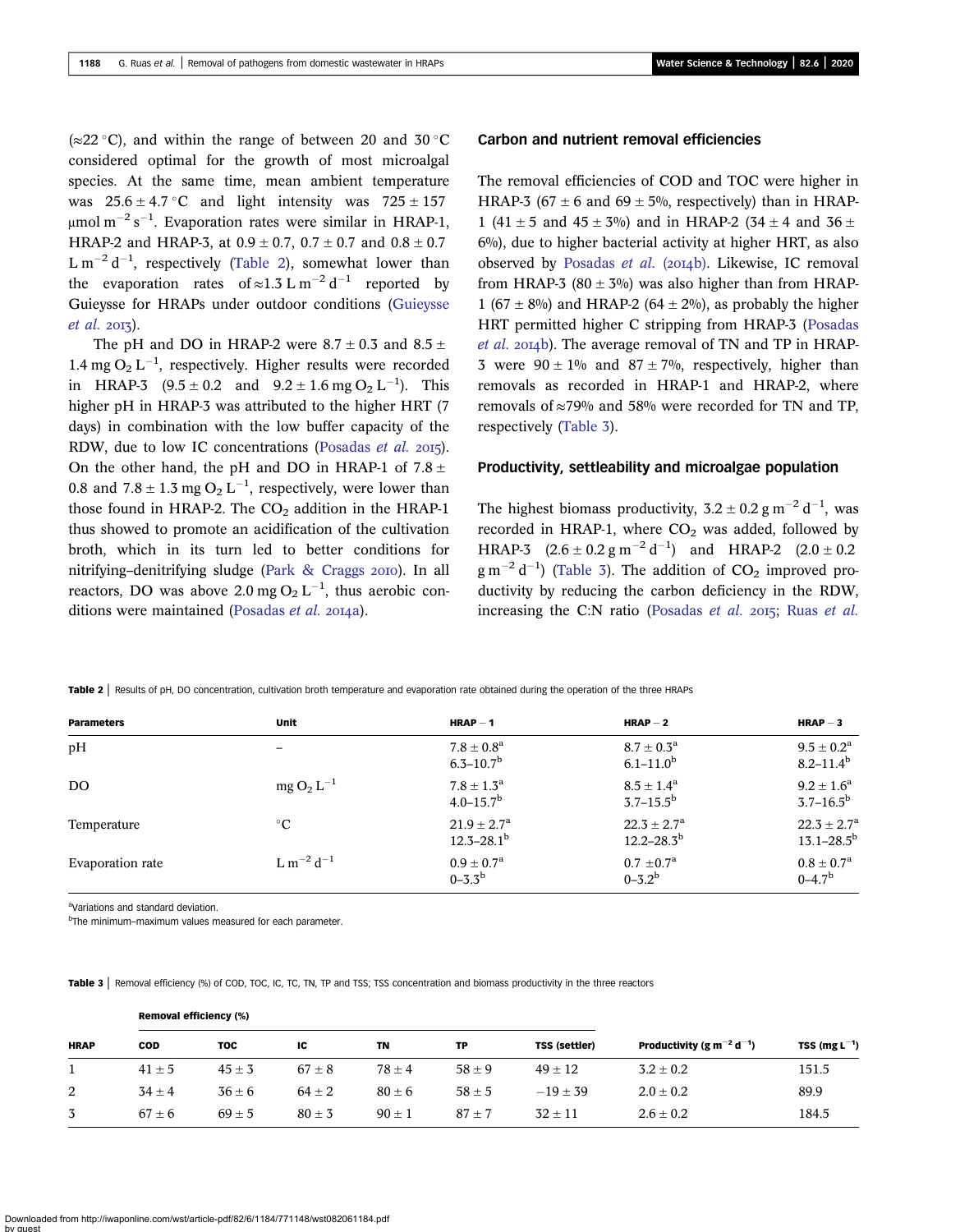( $\approx$ 22 °C), and within the range of between 20 and 30 °C considered optimal for the growth of most microalgal species. At the same time, mean ambient temperature was  $25.6 \pm 4.7$  °C and light intensity was  $725 \pm 157$ μmol m $^{-2}$  s $^{-1}$ . Evaporation rates were similar in HRAP-1, HRAP-2 and HRAP-3, at  $0.9 \pm 0.7$ ,  $0.7 \pm 0.7$  and  $0.8 \pm 0.7$  $\text{L m}^{-2} \text{d}^{-1}$ , respectively (Table 2), somewhat lower than the evaporation rates of  $\approx 1.3 \text{ L m}^{-2} \text{ d}^{-1}$  reported by Guieysse for HRAPs under outdoor conditions [\(Guieysse](#page-7-0)  $et$  al. 2013).

The pH and DO in HRAP-2 were  $8.7 \pm 0.3$  and  $8.5 \pm 1.5$ 1.4 mg  $O_2 L^{-1}$ , respectively. Higher results were recorded in HRAP-3  $(9.5 \pm 0.2 \text{ and } 9.2 \pm 1.6 \text{ mg } O_2 L^{-1})$ . This higher pH in HRAP-3 was attributed to the higher HRT (7 days) in combination with the low buffer capacity of the RDW, due to low IC concentrations ([Posadas](#page-8-0) et al. 2015). On the other hand, the pH and DO in HRAP-1 of  $7.8 \pm$ 0.8 and  $7.8 \pm 1.3$  mg O<sub>2</sub> L<sup>-1</sup>, respectively, were lower than those found in HRAP-2. The  $CO<sub>2</sub>$  addition in the HRAP-1 thus showed to promote an acidification of the cultivation broth, which in its turn led to better conditions for nitrifying–denitrifying sludge (Park  $& Crages$  2010). In all reactors, DO was above 2.0 mg  $O_2 L^{-1}$ , thus aerobic con-ditions were maintained [\(Posadas](#page-8-0) et al. 2014a).

## Carbon and nutrient removal efficiencies

The removal efficiencies of COD and TOC were higher in HRAP-3 (67  $\pm$  6 and 69  $\pm$  5%, respectively) than in HRAP-1 (41  $\pm$  5 and 45  $\pm$  3%) and in HRAP-2 (34  $\pm$  4 and 36  $\pm$ 6%), due to higher bacterial activity at higher HRT, as also observed by [Posadas](#page-8-0) et al. (2014b). Likewise, IC removal from HRAP-3 (80  $\pm$  3%) was also higher than from HRAP-1 (67  $\pm$  8%) and HRAP-2 (64  $\pm$  2%), as probably the higher HRT permitted higher C stripping from HRAP-3 ([Posadas](#page-8-0)  $et$  al.  $20I_4b$ ). The average removal of TN and TP in HRAP-3 were  $90 \pm 1\%$  and  $87 \pm 7\%$ , respectively, higher than removals as recorded in HRAP-1 and HRAP-2, where removals of  $\approx$ 79% and 58% were recorded for TN and TP, respectively (Table 3).

### Productivity, settleability and microalgae population

The highest biomass productivity,  $3.2 \pm 0.2$  g m<sup>-2</sup> d<sup>-1</sup>, was recorded in HRAP-1, where  $CO<sub>2</sub>$  was added, followed by HRAP-3  $(2.6 \pm 0.2 \text{ g m}^{-2} \text{ d}^{-1})$  and HRAP-2  $(2.0 \pm 0.2 \text{ m}^{-1})$  $\text{g m}^{-2} \text{d}^{-1}$ ) (Table 3). The addition of CO<sub>2</sub> improved productivity by reducing the carbon deficiency in the RDW, increasing the C:N ratio ([Posadas](#page-8-0) [et al.](#page-8-0)  $2015$ ; Ruas et al.

Table 2 | Results of pH, DO concentration, cultivation broth temperature and evaporation rate obtained during the operation of the three HRAPs

| <b>Parameters</b> | Unit                              | $HRAP-1$                                           | $HRAP-2$                                             | $HRAP-3$                                        |
|-------------------|-----------------------------------|----------------------------------------------------|------------------------------------------------------|-------------------------------------------------|
| pН                |                                   | $7.8 \pm 0.8^{\rm a}$<br>$6.3 - 10.7^b$            | $8.7 \pm 0.3^{\rm a}$<br>$6.1 - 11.0^b$              | $9.5 \pm 0.2^{\rm a}$<br>$8.2 - 11.4^b$         |
| DO.               | $mg O_2 L^{-1}$                   | $7.8 \pm 1.3^{\rm a}$<br>$4.0 - 15.7^{\rm b}$      | $8.5 \pm 1.4^{\rm a}$<br>$3.7 - 15.5^{\rm b}$        | $9.2 + 1.6^a$<br>$3.7 - 16.5^{\rm b}$           |
| Temperature       | $^{\circ}C$                       | $21.9 + 2.7^{\rm a}$<br>$12.3 - 28.1$ <sup>b</sup> | $22.3 \pm 2.7^{\rm a}$<br>$12.2 - 28.3^{\mathrm{b}}$ | $22.3 \pm 2.7^{\circ}$<br>$13.1 - 28.5^{\rm b}$ |
| Evaporation rate  | L m <sup>-2</sup> d <sup>-1</sup> | $0.9 + 0.7^{\rm a}$<br>$0 - 3.3^b$                 | $0.7 \pm 0.7^{\rm a}$<br>$0 - 3.2^b$                 | $0.8 \pm 0.7^{\rm a}$<br>$0 - 4.7^b$            |

aVariations and standard deviation.

b The minimum–maximum values measured for each parameter.

Table 3 | Removal efficiency (%) of COD, TOC, IC, TC, TN, TP and TSS; TSS concentration and biomass productivity in the three reactors

| <b>HRAP</b> |            | <b>Removal efficiency (%)</b> |            |            |            |                      |                                                   |                    |
|-------------|------------|-------------------------------|------------|------------|------------|----------------------|---------------------------------------------------|--------------------|
|             | <b>COD</b> | тос                           | ΙC         | TN         | TP         | <b>TSS (settler)</b> | Productivity (g m <sup>-2</sup> d <sup>-1</sup> ) | TSS (mg $L^{-1}$ ) |
|             | $41 \pm 5$ | $45 \pm 3$                    | $67 \pm 8$ | $78 \pm 4$ | $58 + 9$   | $49 \pm 12$          | $3.2 \pm 0.2$                                     | 151.5              |
| 2           | $34 + 4$   | $36 + 6$                      | $64 \pm 2$ | $80 \pm 6$ | $58 \pm 5$ | $-19 + 39$           | $2.0 \pm 0.2$                                     | 89.9               |
| 3           | $67 \pm 6$ | $69 \pm 5$                    | $80 \pm 3$ | $90 \pm 1$ | $87 + 7$   | $32 + 11$            | $2.6 \pm 0.2$                                     | 184.5              |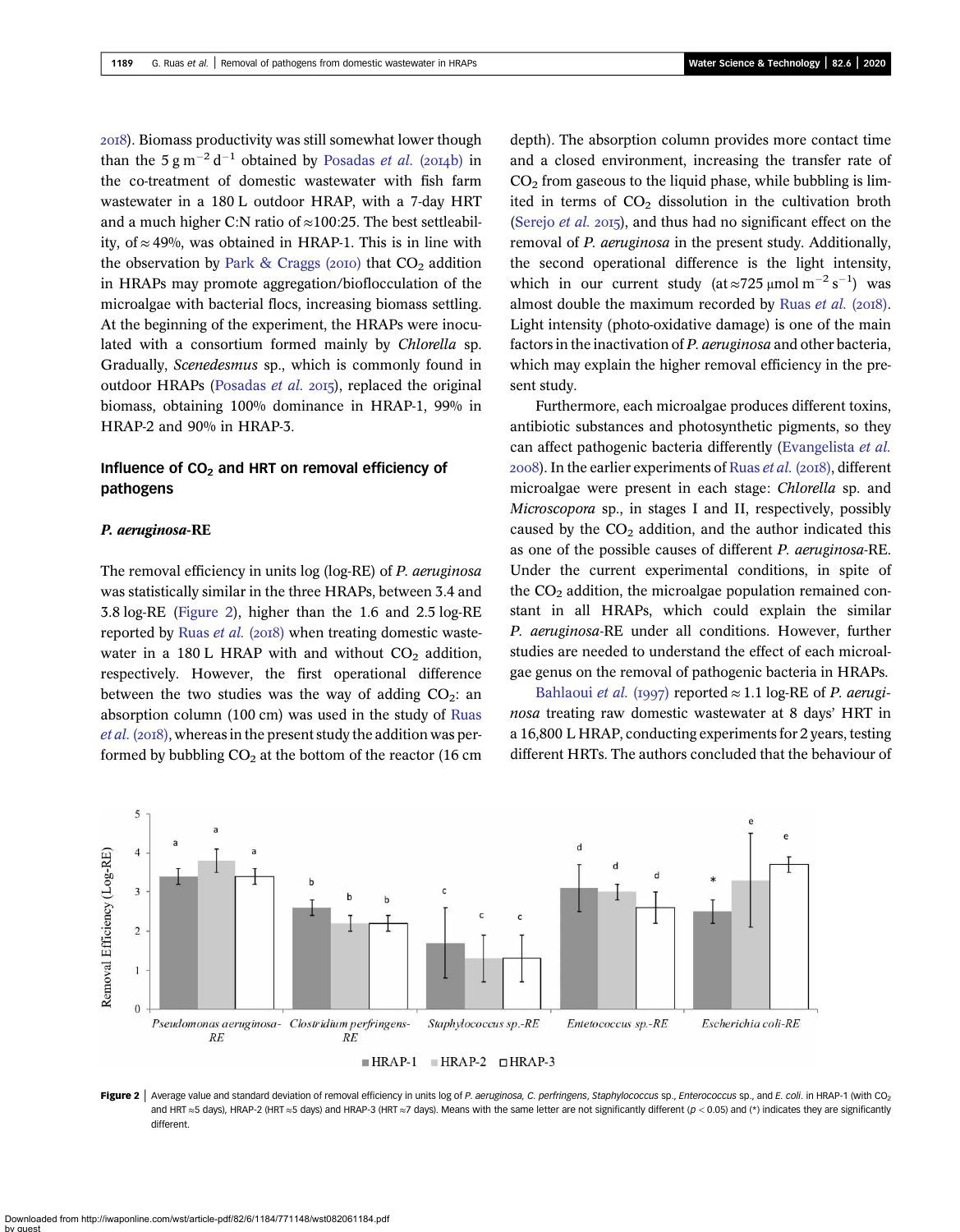<span id="page-5-0"></span>). Biomass productivity was still somewhat lower though than the  $5 \text{ g m}^{-2} \text{ d}^{-1}$  obtained by [Posadas](#page-8-0) *et al.* (2014b) in the co-treatment of domestic wastewater with fish farm wastewater in a 180 L outdoor HRAP, with a 7-day HRT and a much higher C:N ratio of  $\approx$ 100:25. The best settleability, of  $≈ 49%$ , was obtained in HRAP-1. This is in line with the observation by [Park & Craggs \(](#page-8-0)2010) that  $CO<sub>2</sub>$  addition in HRAPs may promote aggregation/bioflocculation of the microalgae with bacterial flocs, increasing biomass settling. At the beginning of the experiment, the HRAPs were inoculated with a consortium formed mainly by Chlorella sp. Gradually, Scenedesmus sp., which is commonly found in outdoor HRAPs [\(Posadas](#page-8-0) et al. 2015), replaced the original biomass, obtaining 100% dominance in HRAP-1, 99% in HRAP-2 and 90% in HRAP-3.

# Influence of  $CO<sub>2</sub>$  and HRT on removal efficiency of pathogens

# P. aeruginosa-RE

The removal efficiency in units log (log-RE) of P. *aeruginosa* was statistically similar in the three HRAPs, between 3.4 and 3.8 log-RE (Figure 2), higher than the 1.6 and 2.5 log-RE reported by [Ruas](#page-8-0) et al. (2018) when treating domestic wastewater in a 180 L HRAP with and without  $CO<sub>2</sub>$  addition, respectively. However, the first operational difference between the two studies was the way of adding  $CO<sub>2</sub>$ : an absorption column (100 cm) was used in the study of [Ruas](#page-8-0)  $et al. (2018)$  $et al. (2018)$ , whereas in the present study the addition was performed by bubbling  $CO<sub>2</sub>$  at the bottom of the reactor (16 cm depth). The absorption column provides more contact time and a closed environment, increasing the transfer rate of  $CO<sub>2</sub>$  from gaseous to the liquid phase, while bubbling is limited in terms of  $CO<sub>2</sub>$  dissolution in the cultivation broth [\(Serejo](#page-8-0) *et al.* 2015), and thus had no significant effect on the removal of P. aeruginosa in the present study. Additionally, the second operational difference is the light intensity, which in our current study (at  $\approx$ 725 µmol m<sup>-2</sup> s<sup>-1</sup>) was almost double the maximum recorded by [Ruas](#page-8-0) et al.  $(2018)$ . Light intensity (photo-oxidative damage) is one of the main factors in the inactivation of P. aeruginosa and other bacteria, which may explain the higher removal efficiency in the present study.

Furthermore, each microalgae produces different toxins, antibiotic substances and photosynthetic pigments, so they can affect pathogenic bacteria differently ([Evangelista](#page-7-0) et al.  $2008$ ). In the earlier experiments of [Ruas](#page-8-0) *et al.* ( $2018$ ), different microalgae were present in each stage: Chlorella sp. and Microscopora sp., in stages I and II, respectively, possibly caused by the  $CO<sub>2</sub>$  addition, and the author indicated this as one of the possible causes of different P. aeruginosa-RE. Under the current experimental conditions, in spite of the  $CO<sub>2</sub>$  addition, the microalgae population remained constant in all HRAPs, which could explain the similar P. aeruginosa-RE under all conditions. However, further studies are needed to understand the effect of each microalgae genus on the removal of pathogenic bacteria in HRAPs.

[Bahlaoui](#page-7-0) et al. (1997) reported  $\approx 1.1$  log-RE of P. aeruginosa treating raw domestic wastewater at 8 days' HRT in a 16,800 L HRAP, conducting experiments for 2 years, testing different HRTs. The authors concluded that the behaviour of



Figure 2 | Average value and standard deviation of removal efficiency in units log of P. aeruginosa, C. perfringens, Staphylococcus sp., Enterococcus sp., and E. coli. in HRAP-1 (with CO<sub>2</sub> and HRT ≈5 days), HRAP-2 (HRT ≈5 days) and HRAP-3 (HRT ≈7 days). Means with the same letter are not significantly different ( $p$  < 0.05) and (\*) indicates they are significantly different.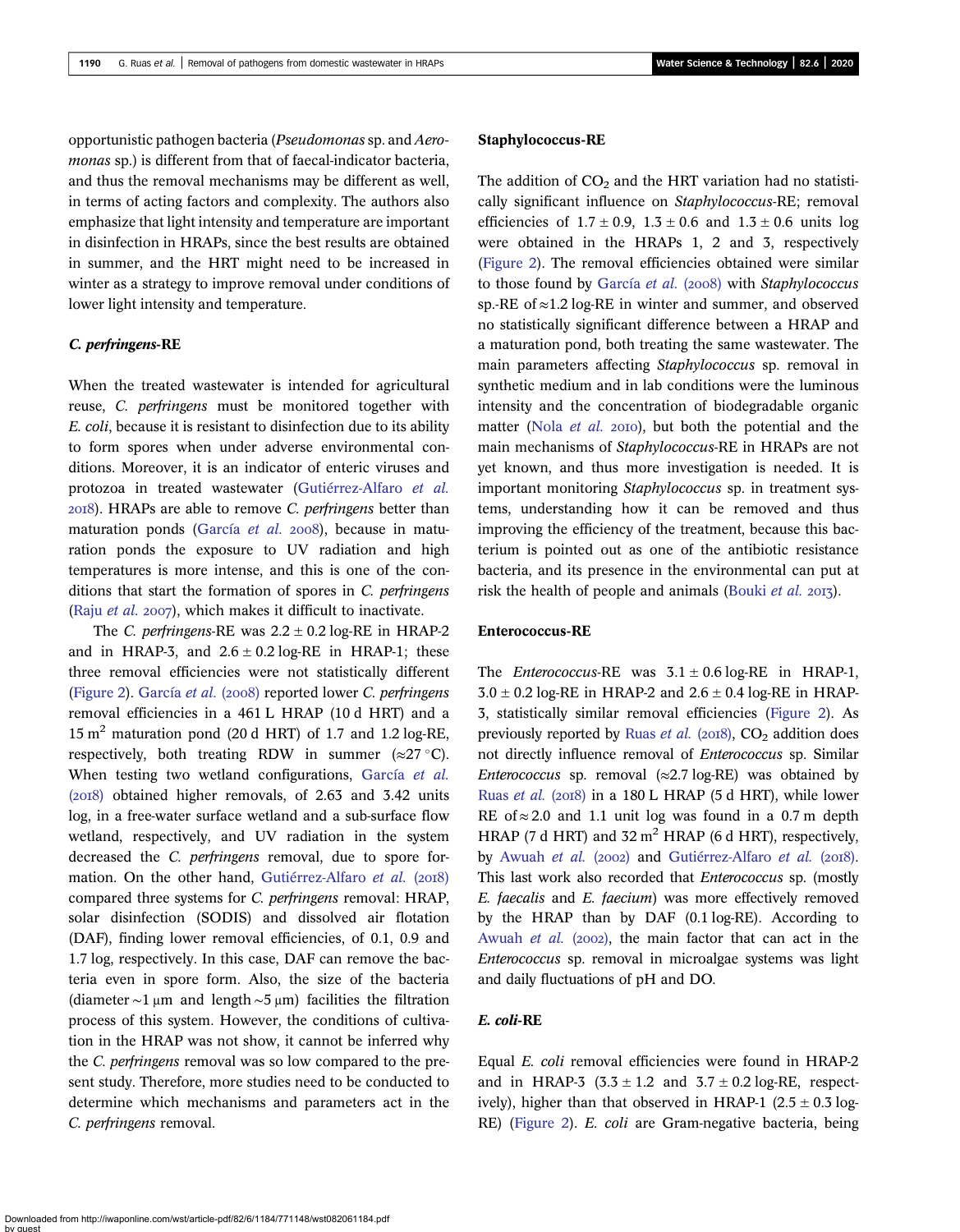opportunistic pathogen bacteria (Pseudomonas sp. and Aeromonas sp.) is different from that of faecal-indicator bacteria. and thus the removal mechanisms may be different as well, in terms of acting factors and complexity. The authors also emphasize that light intensity and temperature are important in disinfection in HRAPs, since the best results are obtained in summer, and the HRT might need to be increased in winter as a strategy to improve removal under conditions of lower light intensity and temperature.

### C. perfringens-RE

When the treated wastewater is intended for agricultural reuse, C. perfringens must be monitored together with E. coli, because it is resistant to disinfection due to its ability to form spores when under adverse environmental conditions. Moreover, it is an indicator of enteric viruses and protozoa in treated wastewater [\(Gutiérrez-Alfaro](#page-7-0) et al. ). HRAPs are able to remove C. perfringens better than maturation ponds [\(García](#page-7-0) et al.  $2008$ ), because in maturation ponds the exposure to UV radiation and high temperatures is more intense, and this is one of the conditions that start the formation of spores in C. perfringens (Raju *[et al.](#page-8-0)* 2007), which makes it difficult to inactivate.

The C. perfringens-RE was  $2.2 \pm 0.2$  log-RE in HRAP-2 and in HRAP-3, and  $2.6 \pm 0.2$  log-RE in HRAP-1; these three removal efficiencies were not statistically different ([Figure 2\)](#page-5-0). [García](#page-7-0) et al. (2008) reported lower C. perfringens removal efficiencies in a 461 L HRAP (10 d HRT) and a 15  $m<sup>2</sup>$  maturation pond (20 d HRT) of 1.7 and 1.2 log-RE, respectively, both treating RDW in summer  $(\approx 27 \degree C)$ . When testing two wetland configurations, [García](#page-7-0) et al.  $(2018)$  obtained higher removals, of 2.63 and 3.42 units log, in a free-water surface wetland and a sub-surface flow wetland, respectively, and UV radiation in the system decreased the C. perfringens removal, due to spore for-mation. On the other hand, [Gutiérrez-Alfaro](#page-7-0) et al. (2018) compared three systems for C. perfringens removal: HRAP, solar disinfection (SODIS) and dissolved air flotation (DAF), finding lower removal efficiencies, of 0.1, 0.9 and 1.7 log, respectively. In this case, DAF can remove the bacteria even in spore form. Also, the size of the bacteria (diameter  $\sim$ 1 µm and length  $\sim$ 5 µm) facilities the filtration process of this system. However, the conditions of cultivation in the HRAP was not show, it cannot be inferred why the C. perfringens removal was so low compared to the present study. Therefore, more studies need to be conducted to determine which mechanisms and parameters act in the C. perfringens removal.

## Staphylococcus-RE

The addition of  $CO<sub>2</sub>$  and the HRT variation had no statistically significant influence on Staphylococcus-RE; removal efficiencies of  $1.7 \pm 0.9$ ,  $1.3 \pm 0.6$  and  $1.3 \pm 0.6$  units log were obtained in the HRAPs 1, 2 and 3, respectively ([Figure 2\)](#page-5-0). The removal efficiencies obtained were similar to those found by [García](#page-7-0) et al.  $(2008)$  with Staphylococcus sp.-RE of ≈1.2 log-RE in winter and summer, and observed no statistically significant difference between a HRAP and a maturation pond, both treating the same wastewater. The main parameters affecting Staphylococcus sp. removal in synthetic medium and in lab conditions were the luminous intensity and the concentration of biodegradable organic matter (Nola  $et$  al. 2010), but both the potential and the main mechanisms of Staphylococcus-RE in HRAPs are not yet known, and thus more investigation is needed. It is important monitoring Staphylococcus sp. in treatment systems, understanding how it can be removed and thus improving the efficiency of the treatment, because this bacterium is pointed out as one of the antibiotic resistance bacteria, and its presence in the environmental can put at risk the health of people and animals ([Bouki](#page-7-0) et al.  $2017$ ).

### Enterococcus-RE

The *Enterococcus-RE* was  $3.1 \pm 0.6$  log-RE in HRAP-1,  $3.0 \pm 0.2$  log-RE in HRAP-2 and  $2.6 \pm 0.4$  log-RE in HRAP-3, statistically similar removal efficiencies [\(Figure 2\)](#page-5-0). As previously reported by Ruas [et al.](#page-8-0) ( $2018$ ),  $CO<sub>2</sub>$  addition does not directly influence removal of Enterococcus sp. Similar Enterococcus sp. removal  $(\approx 2.7 \log \text{RE})$  was obtained by Ruas [et al.](#page-8-0) (2018) in a 180 L HRAP (5 d HRT), while lower RE of  $\approx$  2.0 and 1.1 unit log was found in a 0.7 m depth HRAP (7 d HRT) and  $32 \text{ m}^2$  HRAP (6 d HRT), respectively, by [Awuah](#page-7-0) et al. (2002) and [Gutiérrez-Alfaro](#page-7-0) et al. (2018). This last work also recorded that *Enterococcus* sp. (mostly E. faecalis and E. faecium) was more effectively removed by the HRAP than by DAF (0.1 log-RE). According to [Awuah](#page-7-0) et al.  $(2002)$ , the main factor that can act in the Enterococcus sp. removal in microalgae systems was light and daily fluctuations of pH and DO.

### E. coli-RE

Equal E. coli removal efficiencies were found in HRAP-2 and in HRAP-3  $(3.3 \pm 1.2 \text{ and } 3.7 \pm 0.2 \text{ log-RE}, \text{ respect-}$ ively), higher than that observed in HRAP-1 (2.5  $\pm$  0.3 log-RE) ([Figure 2\)](#page-5-0). E. coli are Gram-negative bacteria, being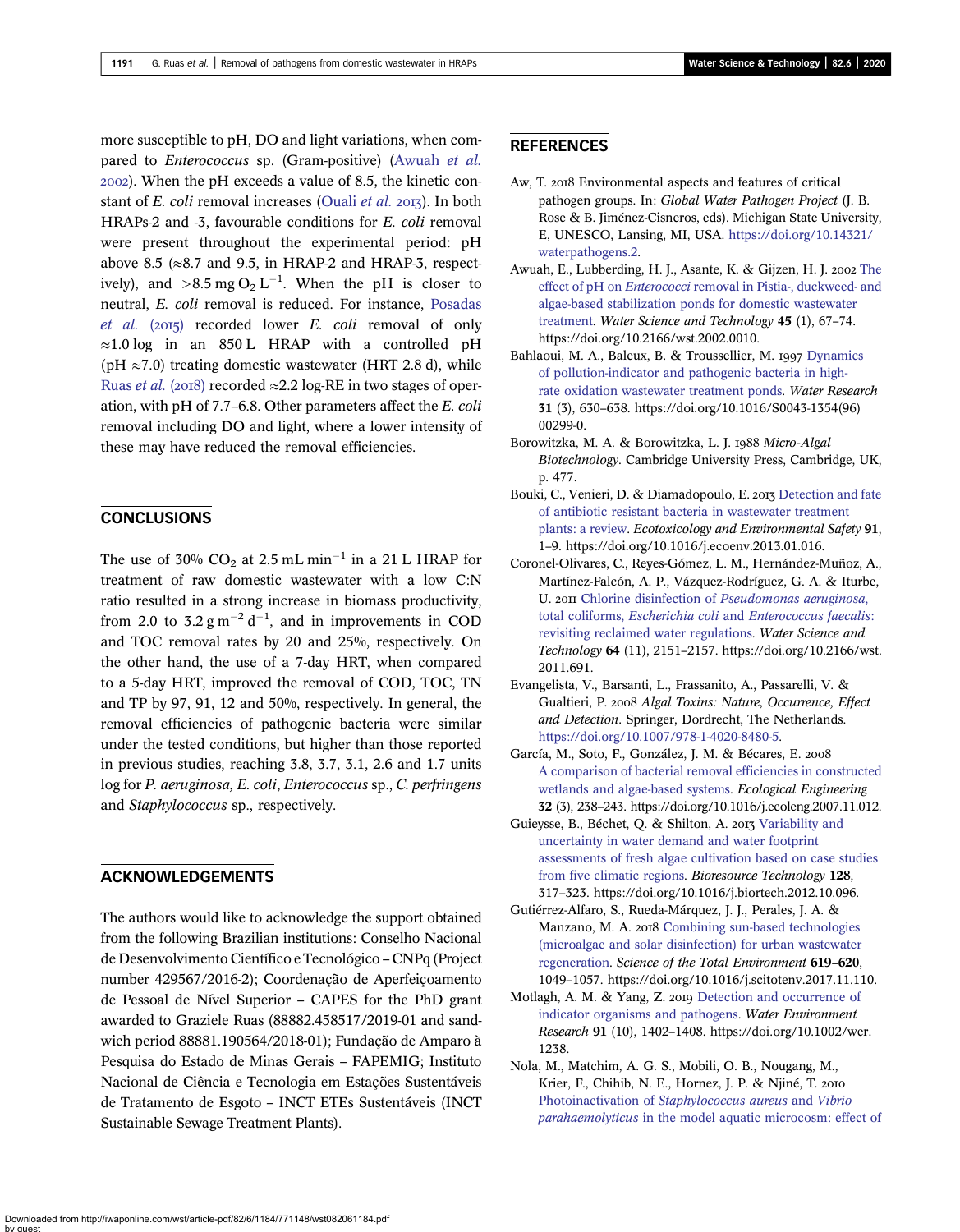<span id="page-7-0"></span>more susceptible to pH, DO and light variations, when compared to Enterococcus sp. (Gram-positive) (Awuah et al. ). When the pH exceeds a value of 8.5, the kinetic constant of E. coli removal increases (Quali et al. 2013). In both HRAPs-2 and -3, favourable conditions for E. coli removal were present throughout the experimental period: pH above 8.5 ( $\approx$ 8.7 and 9.5, in HRAP-2 and HRAP-3, respectively), and  $>8.5 \text{ mg } O_2 L^{-1}$ . When the pH is closer to neutral, E. coli removal is reduced. For instance, [Posadas](#page-8-0) [et al.](#page-8-0)  $(2015)$  recorded lower E. coli removal of only  $\approx$ 1.0 log in an 850 L HRAP with a controlled pH (pH  $\approx$ 7.0) treating domestic wastewater (HRT 2.8 d), while [Ruas](#page-8-0) et al. (2018) recorded  $\approx$  2.2 log-RE in two stages of operation, with pH of 7.7–6.8. Other parameters affect the E. coli removal including DO and light, where a lower intensity of these may have reduced the removal efficiencies.

# **CONCLUSIONS**

The use of 30%  $CO<sub>2</sub>$  at 2.5 mL min<sup>-1</sup> in a 21 L HRAP for treatment of raw domestic wastewater with a low C:N ratio resulted in a strong increase in biomass productivity, from 2.0 to  $3.2 \text{ g m}^{-2} \text{ d}^{-1}$ , and in improvements in COD and TOC removal rates by 20 and 25%, respectively. On the other hand, the use of a 7-day HRT, when compared to a 5-day HRT, improved the removal of COD, TOC, TN and TP by 97, 91, 12 and 50%, respectively. In general, the removal efficiencies of pathogenic bacteria were similar under the tested conditions, but higher than those reported in previous studies, reaching 3.8, 3.7, 3.1, 2.6 and 1.7 units log for P. aeruginosa, E. coli, Enterococcus sp., C. perfringens and Staphylococcus sp., respectively.

# ACKNOWLEDGEMENTS

The authors would like to acknowledge the support obtained from the following Brazilian institutions: Conselho Nacional de Desenvolvimento Científico e Tecnológico – CNPq (Project number 429567/2016-2); Coordenação de Aperfeiçoamento de Pessoal de Nível Superior – CAPES for the PhD grant awarded to Graziele Ruas (88882.458517/2019-01 and sandwich period 88881.190564/2018-01); Fundação de Amparo à Pesquisa do Estado de Minas Gerais – FAPEMIG; Instituto Nacional de Ciência e Tecnologia em Estações Sustentáveis de Tratamento de Esgoto – INCT ETEs Sustentáveis (INCT Sustainable Sewage Treatment Plants).

# **REFERENCES**

- Aw, T. 2018 Environmental aspects and features of critical pathogen groups. In: Global Water Pathogen Project (J. B. Rose & B. Jiménez-Cisneros, eds). Michigan State University, E, UNESCO, Lansing, MI, USA. [https://doi.org/10.14321/](https://doi.org/10.14321/waterpathogens.2) [waterpathogens.2.](https://doi.org/10.14321/waterpathogens.2)
- Awuah, E., Lubberding, H. J., Asante, K. & Gijzen, H. J. 2002 [The](http://dx.doi.org/10.2166/wst.2002.0010) effect of pH on Enterococci [removal in Pistia-, duckweed- and](http://dx.doi.org/10.2166/wst.2002.0010) [algae-based stabilization ponds for domestic wastewater](http://dx.doi.org/10.2166/wst.2002.0010) [treatment.](http://dx.doi.org/10.2166/wst.2002.0010) Water Science and Technology 45 (1), 67-74. https://doi.org/10.2166/wst.2002.0010.
- Bahlaoui, M. A., Baleux, B. & Troussellier, M. 1997 [Dynamics](http://dx.doi.org/10.1016/S0043-1354(96)00299-0) [of pollution-indicator and pathogenic bacteria in high](http://dx.doi.org/10.1016/S0043-1354(96)00299-0)[rate oxidation wastewater treatment ponds.](http://dx.doi.org/10.1016/S0043-1354(96)00299-0) Water Research 31 (3), 630–638. https://doi.org/10.1016/S0043-1354(96) 00299-0.
- Borowitzka, M. A. & Borowitzka, L. J. 1988 Micro-Algal Biotechnology. Cambridge University Press, Cambridge, UK, p. 477.
- Bouki, C., Venieri, D. & Diamadopoulo, E. 2013 [Detection and fate](http://dx.doi.org/10.1016/j.ecoenv.2013.01.016) [of antibiotic resistant bacteria in wastewater treatment](http://dx.doi.org/10.1016/j.ecoenv.2013.01.016) [plants: a review](http://dx.doi.org/10.1016/j.ecoenv.2013.01.016). Ecotoxicology and Environmental Safety 91, 1–9. https://doi.org/10.1016/j.ecoenv.2013.01.016.
- Coronel-Olivares, C., Reyes-Gómez, L. M., Hernández-Muñoz, A., Martínez-Falcón, A. P., Vázquez-Rodríguez, G. A. & Iturbe, U. 2011 Chlorine disinfection of [Pseudomonas aeruginosa](http://dx.doi.org/10.2166/wst.2011.691), total coliforms, Escherichia coli and [Enterococcus faecalis](http://dx.doi.org/10.2166/wst.2011.691): [revisiting reclaimed water regulations.](http://dx.doi.org/10.2166/wst.2011.691) Water Science and Technology 64 (11), 2151–2157. https://doi.org/10.2166/wst. 2011.691.
- Evangelista, V., Barsanti, L., Frassanito, A., Passarelli, V. & Gualtieri, P. 2008 Algal Toxins: Nature, Occurrence, Effect and Detection. Springer, Dordrecht, The Netherlands. [https://doi.org/10.1007/978-1-4020-8480-5.](https://doi.org/10.1007/978-1-4020-8480-5)
- García, M., Soto, F., González, J. M. & Bécares, E. [A comparison of bacterial removal efficiencies in constructed](http://dx.doi.org/10.1016/j.ecoleng.2007.11.012) [wetlands and algae-based systems.](http://dx.doi.org/10.1016/j.ecoleng.2007.11.012) Ecological Engineering 32 (3), 238–243. https://doi.org/10.1016/j.ecoleng.2007.11.012.
- Guieysse, B., Béchet, Q. & Shilton, A. 2013 [Variability and](http://dx.doi.org/10.1016/j.biortech.2012.10.096) [uncertainty in water demand and water footprint](http://dx.doi.org/10.1016/j.biortech.2012.10.096) [assessments of fresh algae cultivation based on case studies](http://dx.doi.org/10.1016/j.biortech.2012.10.096) [from five climatic regions.](http://dx.doi.org/10.1016/j.biortech.2012.10.096) Bioresource Technology 128, 317–323. https://doi.org/10.1016/j.biortech.2012.10.096.
- Gutiérrez-Alfaro, S., Rueda-Márquez, J. J., Perales, J. A. & Manzano, M. A. 2018 [Combining sun-based technologies](http://dx.doi.org/10.1016/j.scitotenv.2017.11.110) [\(microalgae and solar disinfection\) for urban wastewater](http://dx.doi.org/10.1016/j.scitotenv.2017.11.110) [regeneration](http://dx.doi.org/10.1016/j.scitotenv.2017.11.110). Science of the Total Environment 619–620, 1049–1057. https://doi.org/10.1016/j.scitotenv.2017.11.110.
- Motlagh, A. M. & Yang, Z. 2019 [Detection and occurrence of](http://dx.doi.org/10.1002/wer.1238) [indicator organisms and pathogens.](http://dx.doi.org/10.1002/wer.1238) Water Environment Research 91 (10), 1402–1408. https://doi.org/10.1002/wer. 1238.
- Nola, M., Matchim, A. G. S., Mobili, O. B., Nougang, M., Krier, F., Chihib, N. E., Hornez, J. P. & Njiné, T. 2010 Photoinactivation of [Staphylococcus aureus](http://dx.doi.org/10.2166/wst.2010.521) and Vibrio parahaemolyticus [in the model aquatic microcosm: effect of](http://dx.doi.org/10.2166/wst.2010.521)